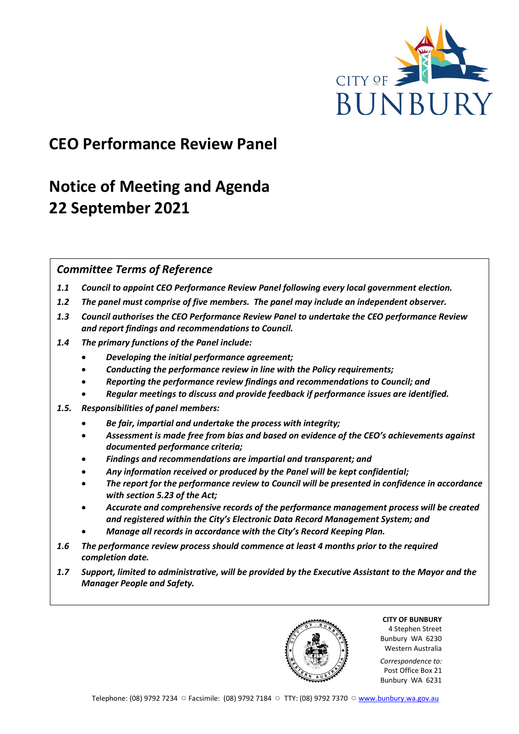

## **CEO Performance Review Panel**

# **Notice of Meeting and Agenda 22 September 2021**

## *Committee Terms of Reference*

- *1.1 Council to appoint CEO Performance Review Panel following every local government election.*
- *1.2 The panel must comprise of five members. The panel may include an independent observer.*
- *1.3 Council authorises the CEO Performance Review Panel to undertake the CEO performance Review and report findings and recommendations to Council.*
- *1.4 The primary functions of the Panel include:*
	- *Developing the initial performance agreement;*
	- *Conducting the performance review in line with the Policy requirements;*
	- *Reporting the performance review findings and recommendations to Council; and*
	- *Regular meetings to discuss and provide feedback if performance issues are identified.*
- *1.5. Responsibilities of panel members:*
	- *Be fair, impartial and undertake the process with integrity;*
	- *Assessment is made free from bias and based on evidence of the CEO's achievements against documented performance criteria;*
	- *Findings and recommendations are impartial and transparent; and*
	- *Any information received or produced by the Panel will be kept confidential;*
	- *The report for the performance review to Council will be presented in confidence in accordance with section 5.23 of the Act;*
	- *Accurate and comprehensive records of the performance management process will be created and registered within the City's Electronic Data Record Management System; and*
	- *Manage all records in accordance with the City's Record Keeping Plan.*
- *1.6 The performance review process should commence at least 4 months prior to the required completion date.*
- *1.7 Support, limited to administrative, will be provided by the Executive Assistant to the Mayor and the Manager People and Safety.*

**CITY OF BUNBURY** 4 Stephen Street Bunbury WA 6230 Western Australia

*Correspondence to:* Post Office Box 21 Bunbury WA 6231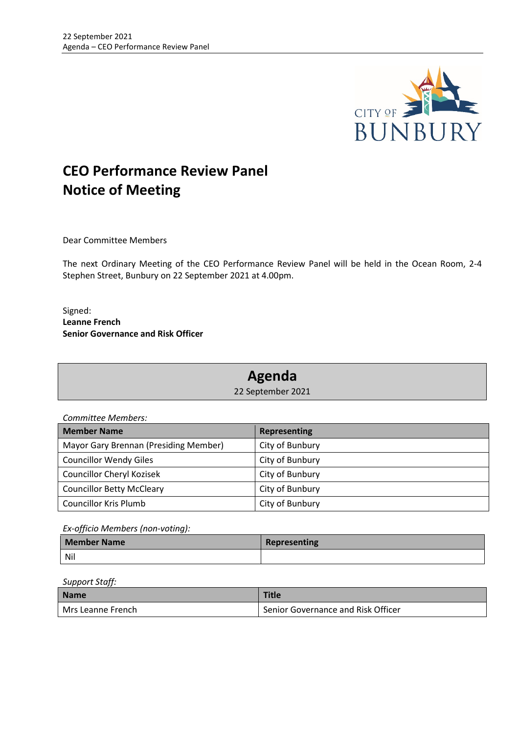

## **CEO Performance Review Panel Notice of Meeting**

Dear Committee Members

The next Ordinary Meeting of the CEO Performance Review Panel will be held in the Ocean Room, 2-4 Stephen Street, Bunbury on 22 September 2021 at 4.00pm.

Signed: **Leanne French Senior Governance and Risk Officer**

## **Agenda**

22 September 2021

*Committee Members:*

| <b>Member Name</b>                    | <b>Representing</b> |
|---------------------------------------|---------------------|
| Mayor Gary Brennan (Presiding Member) | City of Bunbury     |
| <b>Councillor Wendy Giles</b>         | City of Bunbury     |
| Councillor Cheryl Kozisek             | City of Bunbury     |
| <b>Councillor Betty McCleary</b>      | City of Bunbury     |
| <b>Councillor Kris Plumb</b>          | City of Bunbury     |

*Ex-officio Members (non-voting):*

| <b>Member Name</b> | Representing |
|--------------------|--------------|
| Nil                |              |

*Support Staff:*

| <b>Name</b>       | <b>Title</b>                                    |
|-------------------|-------------------------------------------------|
| Mrs Leanne French | <sup>1</sup> Senior Governance and Risk Officer |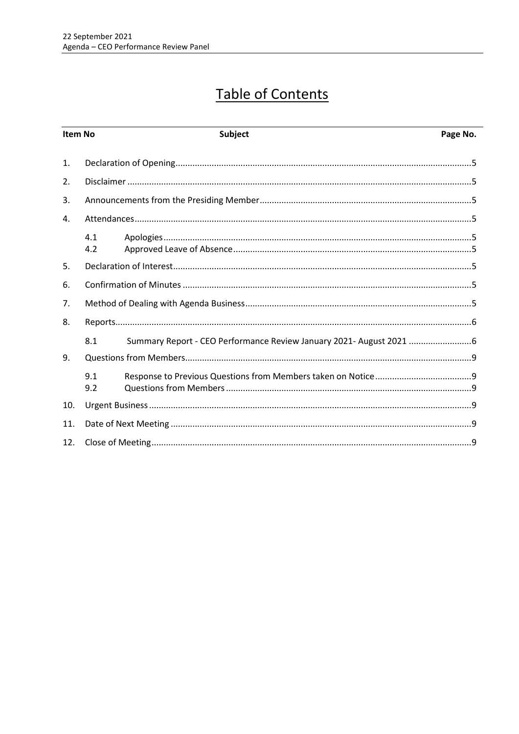# **Table of Contents**

| Item No        |            | <b>Subject</b>                                                      | Page No. |
|----------------|------------|---------------------------------------------------------------------|----------|
| $\mathbf{1}$ . |            |                                                                     |          |
| 2.             |            |                                                                     |          |
| 3.             |            |                                                                     |          |
| 4.             |            |                                                                     |          |
|                | 4.1<br>4.2 |                                                                     |          |
| 5.             |            |                                                                     |          |
| 6.             |            |                                                                     |          |
| 7.             |            |                                                                     |          |
| 8.             |            |                                                                     |          |
|                | 8.1        | Summary Report - CEO Performance Review January 2021- August 2021 6 |          |
| 9.             |            |                                                                     |          |
|                | 9.1<br>9.2 |                                                                     |          |
| 10.            |            |                                                                     |          |
| 11.            |            |                                                                     |          |
| 12.            |            |                                                                     |          |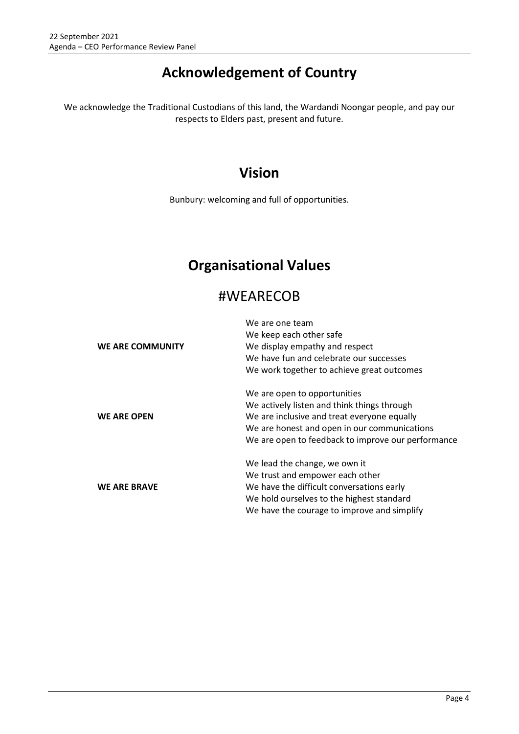## **Acknowledgement of Country**

We acknowledge the Traditional Custodians of this land, the Wardandi Noongar people, and pay our respects to Elders past, present and future.

## **Vision**

Bunbury: welcoming and full of opportunities.

## **Organisational Values**

## #WEARECOB

|                     | We are one team                                    |
|---------------------|----------------------------------------------------|
|                     | We keep each other safe                            |
| WE ARE COMMUNITY    | We display empathy and respect                     |
|                     | We have fun and celebrate our successes            |
|                     | We work together to achieve great outcomes         |
|                     | We are open to opportunities                       |
| <b>WE ARE OPEN</b>  | We actively listen and think things through        |
|                     | We are inclusive and treat everyone equally        |
|                     | We are honest and open in our communications       |
|                     | We are open to feedback to improve our performance |
|                     | We lead the change, we own it                      |
|                     | We trust and empower each other                    |
| <b>WE ARE BRAVE</b> | We have the difficult conversations early          |
|                     | We hold ourselves to the highest standard          |
|                     | We have the courage to improve and simplify        |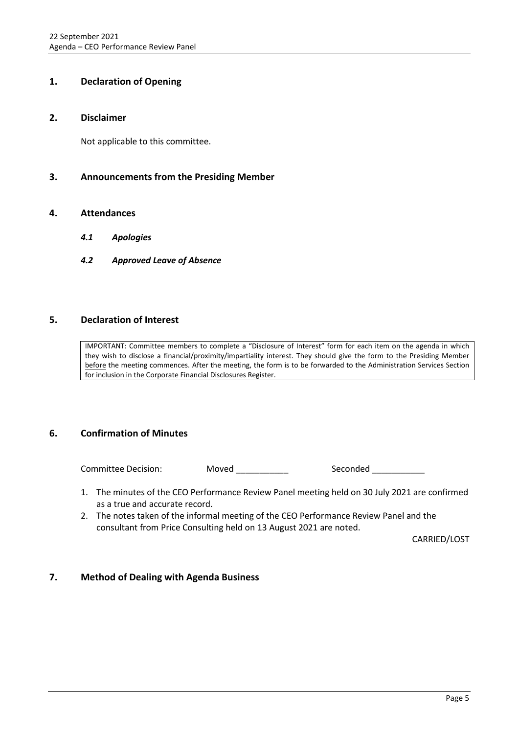## <span id="page-4-0"></span>**1. Declaration of Opening**

#### <span id="page-4-1"></span>**2. Disclaimer**

Not applicable to this committee.

### <span id="page-4-2"></span>**3. Announcements from the Presiding Member**

#### <span id="page-4-4"></span><span id="page-4-3"></span>**4. Attendances**

- *4.1 Apologies*
- <span id="page-4-5"></span>*4.2 Approved Leave of Absence*

### <span id="page-4-6"></span>**5. Declaration of Interest**

IMPORTANT: Committee members to complete a "Disclosure of Interest" form for each item on the agenda in which they wish to disclose a financial/proximity/impartiality interest. They should give the form to the Presiding Member before the meeting commences. After the meeting, the form is to be forwarded to the Administration Services Section for inclusion in the Corporate Financial Disclosures Register.

### <span id="page-4-7"></span>**6. Confirmation of Minutes**

Committee Decision: Moved Seconded Seconded Seconded Seconded Seconded Seconded Seconded Seconded Seconded Seconded Seconded Seconded Seconded Seconded Seconded Seconded Seconded Seconded Seconded Seconded Seconded Seconde

- 1. The minutes of the CEO Performance Review Panel meeting held on 30 July 2021 are confirmed as a true and accurate record.
- 2. The notes taken of the informal meeting of the CEO Performance Review Panel and the consultant from Price Consulting held on 13 August 2021 are noted.

CARRIED/LOST

### <span id="page-4-8"></span>**7. Method of Dealing with Agenda Business**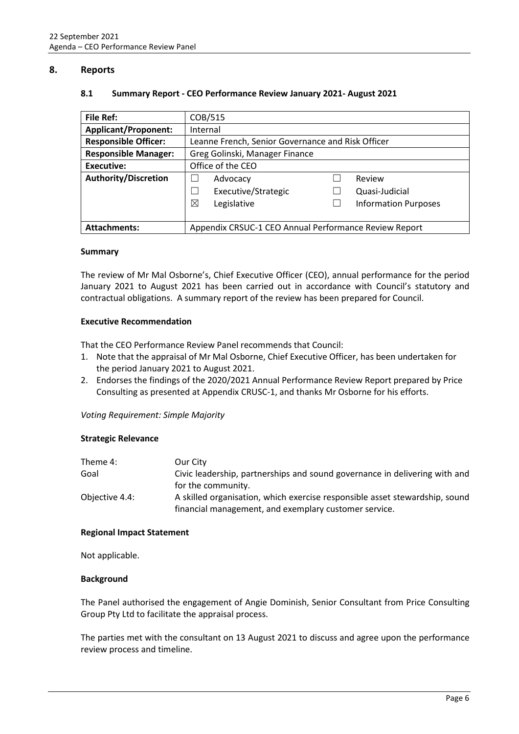#### <span id="page-5-1"></span><span id="page-5-0"></span>**8. Reports**

#### **8.1 Summary Report - CEO Performance Review January 2021- August 2021**

| File Ref:                   | COB/515                                               |                             |  |
|-----------------------------|-------------------------------------------------------|-----------------------------|--|
| <b>Applicant/Proponent:</b> | Internal                                              |                             |  |
| <b>Responsible Officer:</b> | Leanne French, Senior Governance and Risk Officer     |                             |  |
| <b>Responsible Manager:</b> | Greg Golinski, Manager Finance                        |                             |  |
| Executive:                  | Office of the CEO                                     |                             |  |
| <b>Authority/Discretion</b> | Advocacy                                              | Review                      |  |
|                             | Executive/Strategic                                   | Quasi-Judicial              |  |
|                             | ⊠<br>Legislative                                      | <b>Information Purposes</b> |  |
|                             |                                                       |                             |  |
| <b>Attachments:</b>         | Appendix CRSUC-1 CEO Annual Performance Review Report |                             |  |

#### **Summary**

The review of Mr Mal Osborne's, Chief Executive Officer (CEO), annual performance for the period January 2021 to August 2021 has been carried out in accordance with Council's statutory and contractual obligations. A summary report of the review has been prepared for Council.

#### **Executive Recommendation**

That the CEO Performance Review Panel recommends that Council:

- 1. Note that the appraisal of Mr Mal Osborne, Chief Executive Officer, has been undertaken for the period January 2021 to August 2021.
- 2. Endorses the findings of the 2020/2021 Annual Performance Review Report prepared by Price Consulting as presented at Appendix CRUSC-1, and thanks Mr Osborne for his efforts.

#### *Voting Requirement: Simple Majority*

#### **Strategic Relevance**

| Theme 4:       | Our City                                                                    |
|----------------|-----------------------------------------------------------------------------|
| Goal           | Civic leadership, partnerships and sound governance in delivering with and  |
|                | for the community.                                                          |
| Objective 4.4: | A skilled organisation, which exercise responsible asset stewardship, sound |
|                | financial management, and exemplary customer service.                       |

#### **Regional Impact Statement**

Not applicable.

#### **Background**

The Panel authorised the engagement of Angie Dominish, Senior Consultant from Price Consulting Group Pty Ltd to facilitate the appraisal process.

The parties met with the consultant on 13 August 2021 to discuss and agree upon the performance review process and timeline.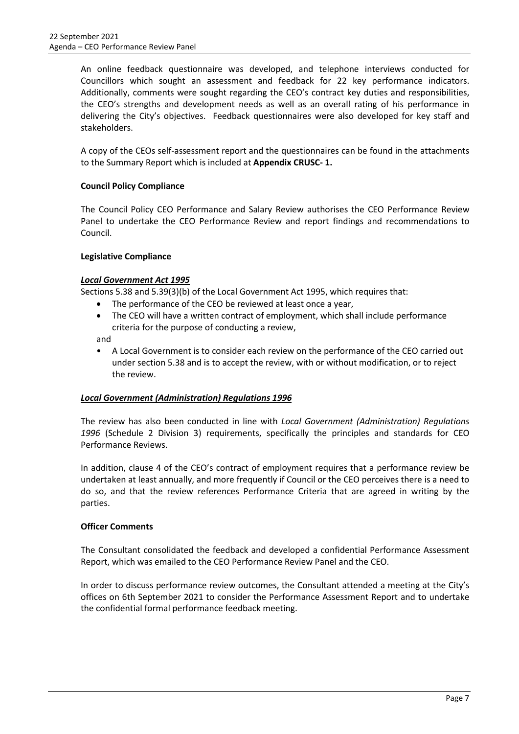An online feedback questionnaire was developed, and telephone interviews conducted for Councillors which sought an assessment and feedback for 22 key performance indicators. Additionally, comments were sought regarding the CEO's contract key duties and responsibilities, the CEO's strengths and development needs as well as an overall rating of his performance in delivering the City's objectives. Feedback questionnaires were also developed for key staff and stakeholders.

A copy of the CEOs self-assessment report and the questionnaires can be found in the attachments to the Summary Report which is included at **Appendix CRUSC- 1.**

### **Council Policy Compliance**

The Council Policy CEO Performance and Salary Review authorises the CEO Performance Review Panel to undertake the CEO Performance Review and report findings and recommendations to Council.

#### **Legislative Compliance**

#### *Local Government Act 1995*

Sections 5.38 and 5.39(3)(b) of the Local Government Act 1995, which requires that:

- The performance of the CEO be reviewed at least once a year,
- The CEO will have a written contract of employment, which shall include performance criteria for the purpose of conducting a review,

and

• A Local Government is to consider each review on the performance of the CEO carried out under section 5.38 and is to accept the review, with or without modification, or to reject the review.

#### *Local Government (Administration) Regulations 1996*

The review has also been conducted in line with *Local Government (Administration) Regulations 1996* (Schedule 2 Division 3) requirements, specifically the principles and standards for CEO Performance Reviews.

In addition, clause 4 of the CEO's contract of employment requires that a performance review be undertaken at least annually, and more frequently if Council or the CEO perceives there is a need to do so, and that the review references Performance Criteria that are agreed in writing by the parties.

#### **Officer Comments**

The Consultant consolidated the feedback and developed a confidential Performance Assessment Report, which was emailed to the CEO Performance Review Panel and the CEO.

In order to discuss performance review outcomes, the Consultant attended a meeting at the City's offices on 6th September 2021 to consider the Performance Assessment Report and to undertake the confidential formal performance feedback meeting.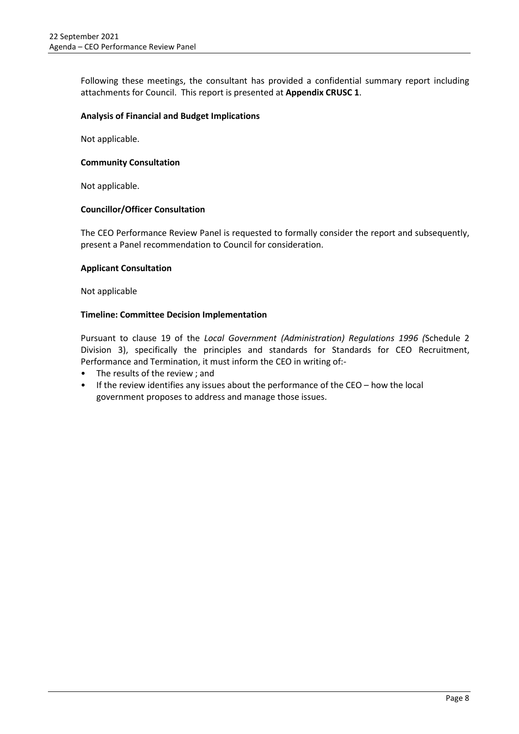Following these meetings, the consultant has provided a confidential summary report including attachments for Council. This report is presented at **Appendix CRUSC 1**.

#### **Analysis of Financial and Budget Implications**

Not applicable.

#### **Community Consultation**

Not applicable.

#### **Councillor/Officer Consultation**

The CEO Performance Review Panel is requested to formally consider the report and subsequently, present a Panel recommendation to Council for consideration.

#### **Applicant Consultation**

Not applicable

#### **Timeline: Committee Decision Implementation**

Pursuant to clause 19 of the *Local Government (Administration) Regulations 1996 (*Schedule 2 Division 3), specifically the principles and standards for Standards for CEO Recruitment, Performance and Termination, it must inform the CEO in writing of:-

- The results of the review ; and
- If the review identifies any issues about the performance of the CEO how the local government proposes to address and manage those issues.